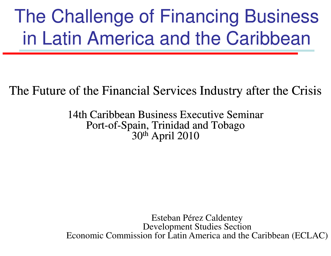# The Challenge of Financing Business in Latin America and the Caribbean

### The Future of the Financial Services Industry after the Crisis

14th Caribbean Business Executive Seminar Port-of-Spain, Trinidad and Tobago 30th April 2010

Esteban Pérez Caldentey Development Studies Section Economic Commission for Latin America and the Caribbean (ECLAC)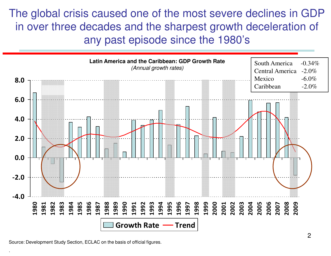The global crisis caused one of the most severe declines in GDP in over three decades and the sharpest growth deceleration of any past episode since the 1980's



Source: Development Study Section, ECLAC on the basis of official figures.

2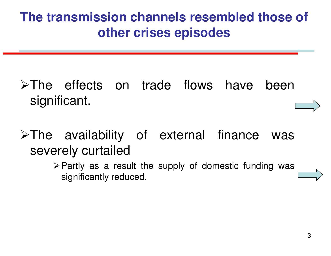## **The transmission channels resembled those of other crises episodes**

- $\triangleright$ The effects on trade flows have been significant.
- $\triangleright$  The availability of external finance was severely curtailed
	- $\triangleright$  Partly as a result the supply of domestic funding was significantly reduced.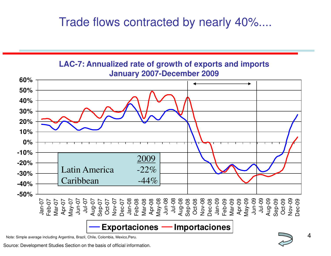### Trade flows contracted by nearly 40%....



Note: Simple average including Argentina, Brazil, Chile, Colombia, Mexico,Peru.

Source: Development Studies Section on the basis of official information.

4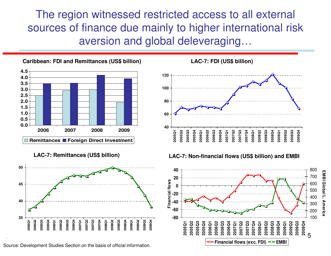The region witnessed restricted access to all external sources of finance due mainly to higher international risk aversion and global deleveraging…





Source: Development Studies Section on the basis of official information.

.



#### **LAC-7: Remittances (US\$ billion) LAC-7: Non-financial flows (US\$ billion) and EMBI**



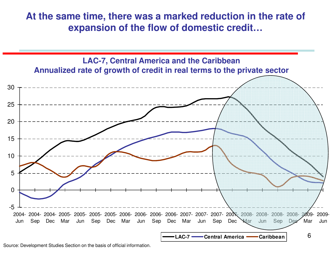**At the same time, there was a marked reduction in the rate of expansion of the flow of domestic credit…** 



Source: Development Studies Section on the basis of official information.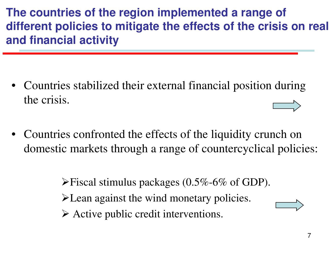**The countries of the region implemented a range of different policies to mitigate the effects of the crisis on real and financial activity** 

- Countries stabilized their external financial position during the crisis.
- Countries confronted the effects of the liquidity crunch on domestic markets through a range of countercyclical policies:

 $\blacktriangleright$  Fiscal stimulus packages (0.5%-6% of GDP). Lean against the wind monetary policies.  $\triangleright$  Active public credit interventions.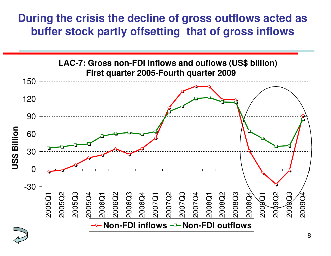### **During the crisis the decline of gross outflows acted as buffer stock partly offsetting that of gross inflows**



8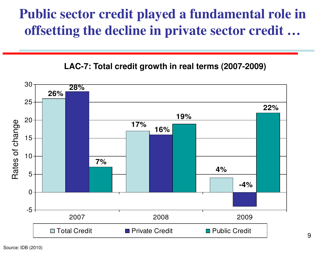## **Public sector credit played a fundamental role in offsetting the decline in private sector credit …**



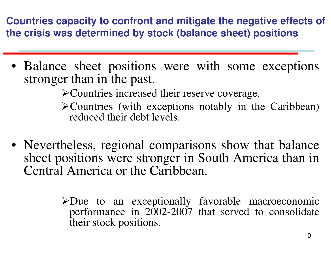**Countries capacity to confront and mitigate the negative effects of the crisis was determined by stock (balance sheet) positions** 

• Balance sheet positions were with some exceptions stronger than in the past.

Countries increased their reserve coverage.

Countries (with exceptions notably in the Caribbean) reduced their debt levels.

- Nevertheless, regional comparisons show that balance sheet positions were stronger in South America than in Central America or the Caribbean.
	- $\triangle$ Due to an exceptionally favorable macroeconomic performance in  $2002-2007$  that served to consolidate their stock positions.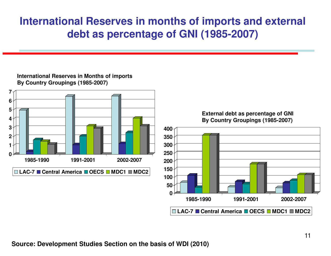### **International Reserves in months of imports and external debt as percentage of GNI (1985-2007)**

#### **3 4 5 6 7 400 External debt as percentage of GNI By Country Groupings (1985-2007) 0 1 2 1985-1990 1991-2001 2002-2007 LAC-7 Central America OECS MDC1 MDC2 0 50 100 150 200 250 300 350 1985-1990 1991-2001 2002-2007**

#### **International Reserves in Months of imports By Country Groupings (1985-2007)**

**Source: Development Studies Section on the basis of WDI (2010)**

**LAC-7 Central America OECS MDC1 MDC2**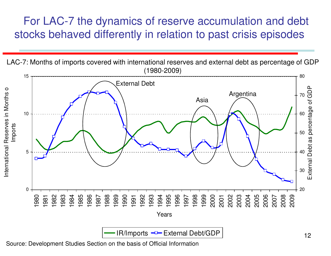### For LAC-7 the dynamics of reserve accumulation and debt stocks behaved differently in relation to past crisis episodes

LAC-7: Months of imports covered with international reserves and external debt as percentage of GDP (1980-2009)



Source: Development Studies Section on the basis of Official Information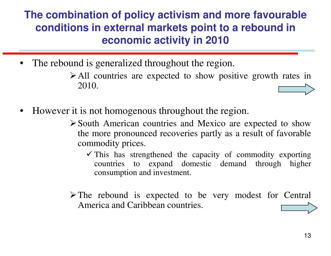### **The combination of policy activism and more favourable conditions in external markets point to a rebound in economic activity in 2010**

- The rebound is generalized throughout the region.
	- All countries are expected to show positive growth rates in 2010.
- However it is not homogenous throughout the region.
	- $\triangleright$  South American countries and Mexico are expected to show the more pronounced recoveries partly as <sup>a</sup> result of favorable commodity prices.
		- $\checkmark$  This has strengthened the capacity of commodity exporting countries to expand domestic demand through higher consumption and investment.
	- $\triangleright$  The rebound is expected to be very modest for Central America and Caribbean countries.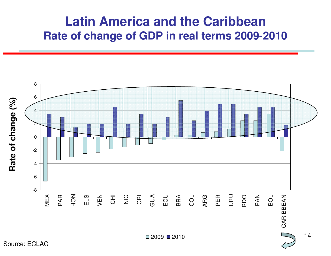### **Latin America and the Caribbean Rate of change of GDP in real terms 2009-2010**

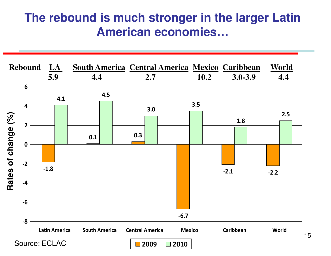### **The rebound is much stronger in the larger Latin American economies…**

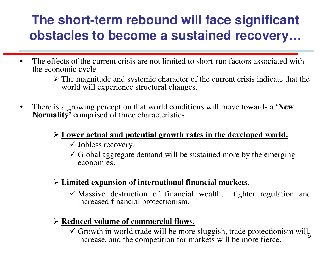## **The short-term rebound will face significant obstacles to become a sustained recovery…**

- The effects of the current crisis are not limited to short-run factors associated with the economic cycle
	- The magnitude and systemic character of the current crisis indicate that the world will experience structural changes.
- There is a growing perception that world conditions will move towards a '**New Normality'** comprised of three characteristics:

### **Lower actual and potential growth rates in the developed world.**

- Jobless recovery.
- $\checkmark$  Global aggregate demand will be sustained more by the emerging economies.

### **Limited expansion of international financial markets.**

-Massive destruction of financial wealth, tighter regulation and increased financial protectionism.

### **Reduced volume of commercial flows.**

16  $\checkmark$  Growth in world trade will be more sluggish, trade protectionism will increase, and the competition for markets will be more fierce.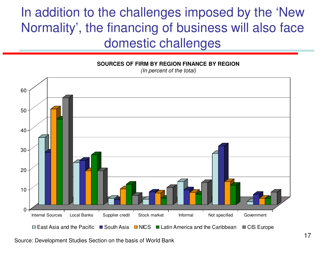## In addition to the challenges imposed by the 'New Normality', the financing of business will also face domestic challenges



Source: Development Studies Section on the basis of World Bank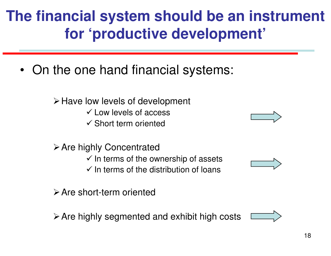## **The financial system should be an instrument for 'productive development'**

• On the one hand financial systems:

 $\triangleright$  Have low levels of development

- Low levels of access

- Short term oriented

 $\triangleright$  Are highly Concentrated  $\checkmark$  In terms of the ownership of assets  $\checkmark$  In terms of the distribution of loans

Are short-term oriented

 $\triangleright$  Are highly segmented and exhibit high costs





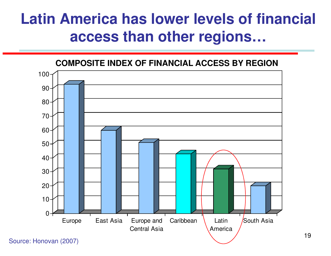## **Latin America has lower levels of financial access than other regions…**



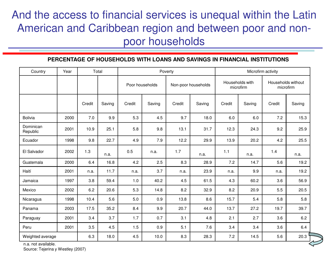### And the access to financial services is unequal within the Latin American and Caribbean region and between poor and nonpoor households

#### **PERCENTAGE OF HOUSEHOLDS WITH LOANS AND SAVINGS IN FINANCIAL INSTITUTIONS**

| Country               | Year | Total  |        | Poverty         |        |                     | Microfirm activity |                              |        |                                 |        |
|-----------------------|------|--------|--------|-----------------|--------|---------------------|--------------------|------------------------------|--------|---------------------------------|--------|
|                       |      |        |        | Poor households |        | Non-poor households |                    | Households with<br>microfirm |        | Households without<br>microfirm |        |
|                       |      | Credit | Saving | Credit          | Saving | Credit              | Saving             | Credit                       | Saving | Credit                          | Saving |
| <b>Bolivia</b>        | 2000 | 7.0    | 9.9    | 5.3             | 4.5    | 9.7                 | 18.0               | 6.0                          | 6.0    | 7.2                             | 15.3   |
| Dominican<br>Republic | 2001 | 10.9   | 25.1   | 5.8             | 9.8    | 13.1                | 31.7               | 12.3                         | 24.3   | 9.2                             | 25.9   |
| Ecuador               | 1998 | 9.8    | 22.7   | 4.9             | 7.9    | 12.2                | 29.9               | 13.9                         | 20.2   | 4.2                             | 25.5   |
| El Salvador           | 2002 | 1.3    | n.a.   | 0.5             | n.a.   | 1.7                 | n.a.               | 1.1                          | n.a.   | 1.4                             | n.a.   |
| Guatemala             | 2000 | 6.4    | 16.8   | 4.2             | 2.5    | 8.3                 | 28.9               | 7.2                          | 14.7   | 5.6                             | 19.2   |
| Haití                 | 2001 | n.a.   | 11.7   | n.a.            | 3.7    | n.a.                | 23.9               | n.a.                         | 9.9    | n.a.                            | 19.2   |
| Jamaica               | 1997 | 3.8    | 59.4   | 1.0             | 40.2   | 4.5                 | 61.5               | 4.3                          | 60.2   | 3.6                             | 56.9   |
| Mexico                | 2002 | 6.2    | 20.6   | 5.3             | 14.8   | 8.2                 | 32.9               | 8.2                          | 20.9   | 5.5                             | 20.5   |
| Nicaragua             | 1998 | 10.4   | 5.6    | 5.0             | 0.9    | 13.8                | 8.6                | 15.7                         | 5.4    | 5.8                             | 5.8    |
| Panama                | 2003 | 17.5   | 35.2   | 8.4             | 9.9    | 20.7                | 44.0               | 13.7                         | 27.2   | 19.7                            | 39.7   |
| Paraguay              | 2001 | 3.4    | 3.7    | 1.7             | 0.7    | 3.1                 | 4.8                | 2.1                          | 2.7    | 3.6                             | 6.2    |
| Peru                  | 2001 | 3.5    | 4.5    | 1.5             | 0.9    | 5.1                 | 7.6                | 3.4                          | 3.4    | 3.6                             | 6.4    |
| Weighted average      |      | 6.3    | 18.0   | 4.5             | 10.0   | 8.3                 | 28.3               | 7.2                          | 14.5   | 5.6                             | 20.3   |

n.a. not available. Source: Tejerina y Westley (2007)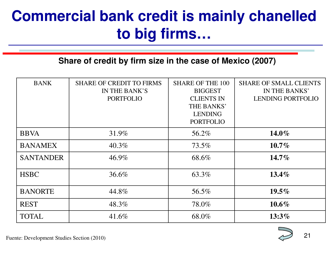## **Commercial bank credit is mainly chanelled to big firms…**

### **Share of credit by firm size in the case of Mexico (2007)**

| <b>BANK</b>      | <b>SHARE OF CREDIT TO FIRMS</b><br>IN THE BANK'S<br><b>PORTFOLIO</b> | <b>SHARE OF THE 100</b><br><b>BIGGEST</b><br><b>CLIENTS IN</b><br>THE BANKS'<br><b>LENDING</b><br><b>PORTFOLIO</b> | <b>SHARE OF SMALL CLIENTS</b><br>IN THE BANKS'<br><b>LENDING PORTFOLIO</b> |
|------------------|----------------------------------------------------------------------|--------------------------------------------------------------------------------------------------------------------|----------------------------------------------------------------------------|
| <b>BBVA</b>      | 31.9%                                                                | 56.2%                                                                                                              | $14.0\%$                                                                   |
| <b>BANAMEX</b>   | $40.3\%$                                                             | 73.5%                                                                                                              | $10.7\%$                                                                   |
| <b>SANTANDER</b> | 46.9%                                                                | 68.6%                                                                                                              | $14.7\%$                                                                   |
| <b>HSBC</b>      | 36.6%                                                                | 63.3%                                                                                                              | $13.4\%$                                                                   |
| <b>BANORTE</b>   | 44.8%                                                                | 56.5%                                                                                                              | $19.5\%$                                                                   |
| <b>REST</b>      | 48.3%                                                                | 78.0%                                                                                                              | $10.6\%$                                                                   |
| <b>TOTAL</b>     | 41.6%                                                                | 68.0%                                                                                                              | $13:3\%$                                                                   |

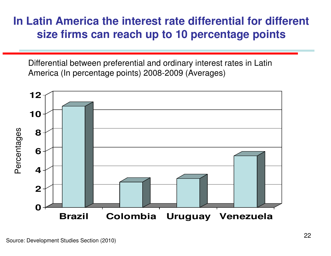### **In Latin America the interest rate differential for different size firms can reach up to 10 percentage points**

Differential between preferential and ordinary interest rates in Latin America (In percentage points) 2008-2009 (Averages)

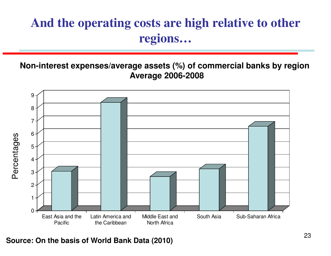## **And the operating costs are high relative to other regions…**

**Non-interest expenses/average assets (%) of commercial banks by region Average 2006-2008** 



**Source: On the basis of World Bank Data (2010)**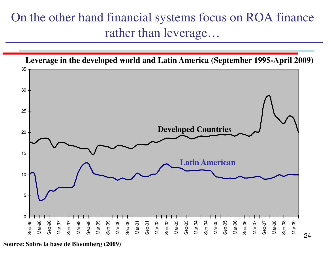### On the other hand financial systems focus on ROA finance rather than leverage…



**Source: Sobre la base de Bloomberg (2009)**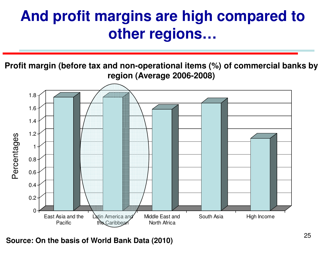## **And profit margins are high compared to other regions…**

**Profit margin (before tax and non-operational items (%) of commercial banks by region (Average 2006-2008)**



**Source: On the basis of World Bank Data (2010)**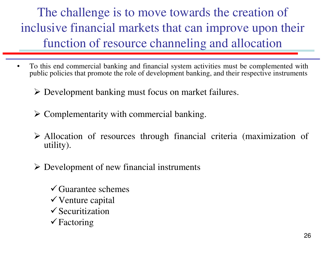The challenge is to move towards the creation of inclusive financial markets that can improve upon their function of resource channeling and allocation

- To this end commercial banking and financial system activities must be complemented with public policies that promote the role of development banking, and their respective instruments
	- Development banking must focus on market failures.
	- $\triangleright$  Complementarity with commercial banking.
	- Allocation of resources through financial criteria (maximization of utility).
	- Development of new financial instruments
		- -Guarantee schemes -Venture capital **✓ Securitization**
		- -Factoring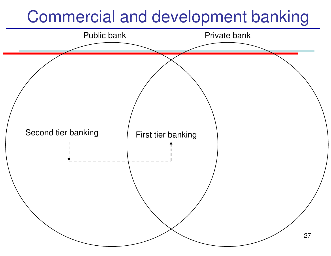# Commercial and development banking

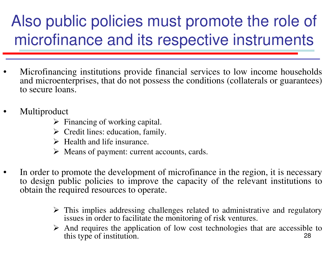# Also public policies must promote the role of microfinance and its respective instruments

- Microfinancing institutions provide financial services to low income households and microenterprises, that do not possess the conditions (collaterals or guarantees) to secure loans.
- **Multiproduct** 
	- $\triangleright$  Financing of working capital.
	- $\triangleright$  Credit lines: education, family.
	- $\triangleright$  Health and life insurance.
	- $\triangleright$  Means of payment: current accounts, cards.
- In order to promote the development of microfinance in the region, it is necessary to design public policies to improve the capacity of the relevant institutions to obtain the required resources to operate.
	- $\triangleright$  This implies addressing challenges related to administrative and regulatory issues in order to facilitate the monitoring of risk ventures.
	- 28  $\triangleright$  And requires the application of low cost technologies that are accessible to this type of institution.